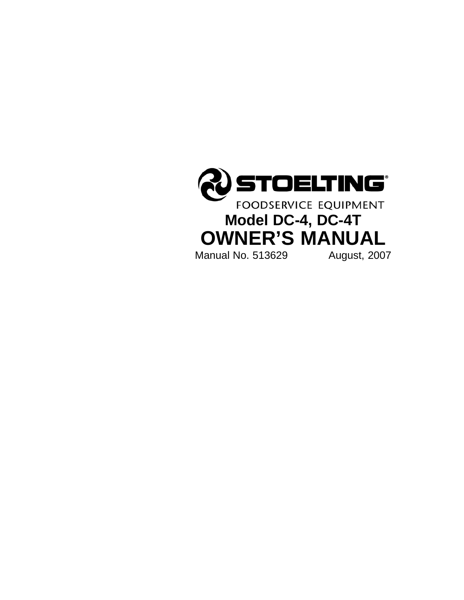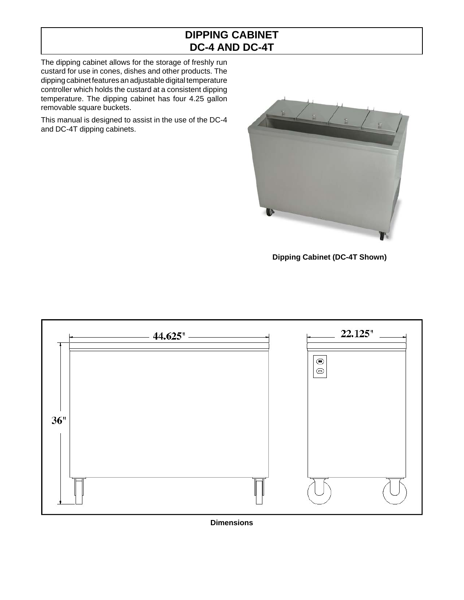# **DIPPING CABINET DC-4 AND DC-4T**

The dipping cabinet allows for the storage of freshly run custard for use in cones, dishes and other products. The dipping cabinet features an adjustable digital temperature controller which holds the custard at a consistent dipping temperature. The dipping cabinet has four 4.25 gallon removable square buckets.

This manual is designed to assist in the use of the DC-4 and DC-4T dipping cabinets.



**Dipping Cabinet (DC-4T Shown)**



**Dimensions**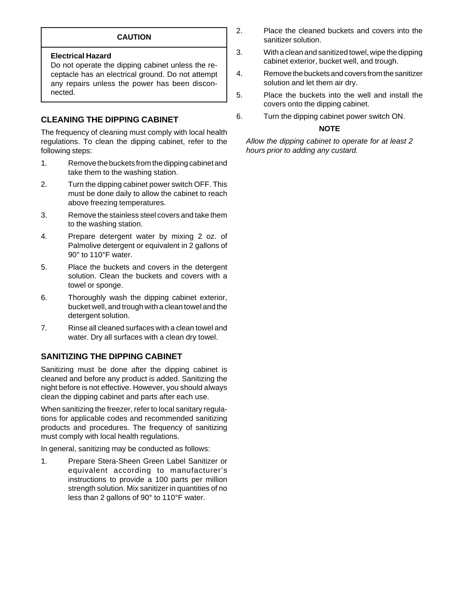## **CAUTION**

## **Electrical Hazard**

Do not operate the dipping cabinet unless the receptacle has an electrical ground. Do not attempt any repairs unless the power has been disconnected.

## **CLEANING THE DIPPING CABINET**

The frequency of cleaning must comply with local health regulations. To clean the dipping cabinet, refer to the following steps:

- 1. Remove the buckets from the dipping cabinet and take them to the washing station.
- 2. Turn the dipping cabinet power switch OFF. This must be done daily to allow the cabinet to reach above freezing temperatures.
- 3. Remove the stainless steel covers and take them to the washing station.
- 4. Prepare detergent water by mixing 2 oz. of Palmolive detergent or equivalent in 2 gallons of 90° to 110°F water.
- 5. Place the buckets and covers in the detergent solution. Clean the buckets and covers with a towel or sponge.
- 6. Thoroughly wash the dipping cabinet exterior, bucket well, and trough with a clean towel and the detergent solution.
- 7. Rinse all cleaned surfaces with a clean towel and water. Dry all surfaces with a clean dry towel.

## **SANITIZING THE DIPPING CABINET**

Sanitizing must be done after the dipping cabinet is cleaned and before any product is added. Sanitizing the night before is not effective. However, you should always clean the dipping cabinet and parts after each use.

When sanitizing the freezer, refer to local sanitary regulations for applicable codes and recommended sanitizing products and procedures. The frequency of sanitizing must comply with local health regulations.

In general, sanitizing may be conducted as follows:

1. Prepare Stera-Sheen Green Label Sanitizer or equivalent according to manufacturer's instructions to provide a 100 parts per million strength solution. Mix sanitizer in quantities of no less than 2 gallons of 90° to 110°F water.

- 2. Place the cleaned buckets and covers into the sanitizer solution.
- 3. With a clean and sanitized towel, wipe the dipping cabinet exterior, bucket well, and trough.
- 4. Remove the buckets and covers from the sanitizer solution and let them air dry.
- 5. Place the buckets into the well and install the covers onto the dipping cabinet.
- 6. Turn the dipping cabinet power switch ON.

## **NOTE**

*Allow the dipping cabinet to operate for at least 2 hours prior to adding any custard.*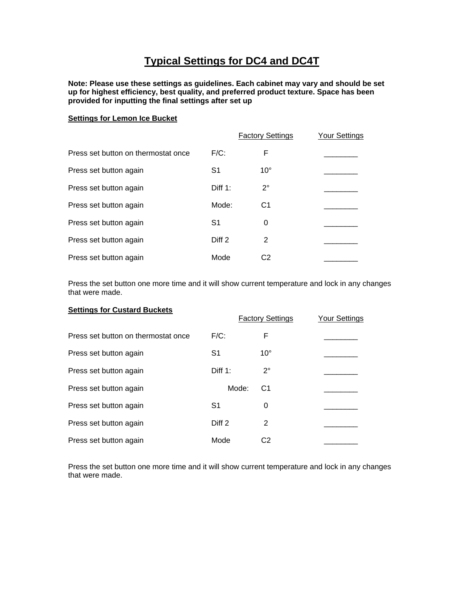# **Typical Settings for DC4 and DC4T**

**Note: Please use these settings as guidelines. Each cabinet may vary and should be set up for highest efficiency, best quality, and preferred product texture. Space has been provided for inputting the final settings after set up** 

## **Settings for Lemon Ice Bucket**

|                                     |                   | <b>Factory Settings</b> | Your Settings |
|-------------------------------------|-------------------|-------------------------|---------------|
| Press set button on thermostat once | $F/C$ :           | F                       |               |
| Press set button again              | S1                | $10^{\circ}$            |               |
| Press set button again              | Diff 1:           | $2^{\circ}$             |               |
| Press set button again              | Mode:             | C1                      |               |
| Press set button again              | S1                | 0                       |               |
| Press set button again              | Diff <sub>2</sub> | 2                       |               |
| Press set button again              | Mode              | C2                      |               |

Press the set button one more time and it will show current temperature and lock in any changes that were made.

#### **Settings for Custard Buckets**

|                                     | <b>Factory Settings</b> |              | Your Settings |
|-------------------------------------|-------------------------|--------------|---------------|
| Press set button on thermostat once | $F/C$ :                 | F            |               |
| Press set button again              | S <sub>1</sub>          | $10^{\circ}$ |               |
| Press set button again              | Diff 1:                 | $2^{\circ}$  |               |
| Press set button again              | Mode:                   | C1           |               |
| Press set button again              | S1                      | 0            |               |
| Press set button again              | Diff 2                  | 2            |               |
| Press set button again              | Mode                    | C2           |               |

Press the set button one more time and it will show current temperature and lock in any changes that were made.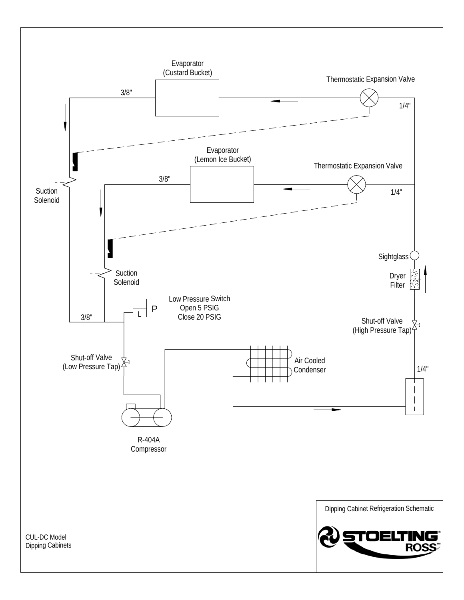